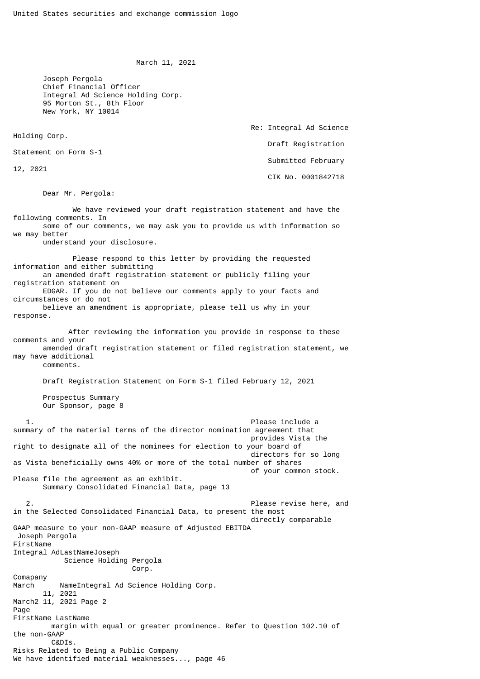March 11, 2021

 Joseph Pergola Chief Financial Officer Integral Ad Science Holding Corp. 95 Morton St., 8th Floor New York, NY 10014

Holding Corp.

12, 2021

 Re: Integral Ad Science Draft Registration Submitted February CIK No. 0001842718

Statement on Form S-1

Dear Mr. Pergola:

 We have reviewed your draft registration statement and have the following comments. In some of our comments, we may ask you to provide us with information so we may better understand your disclosure. Please respond to this letter by providing the requested information and either submitting an amended draft registration statement or publicly filing your registration statement on EDGAR. If you do not believe our comments apply to your facts and circumstances or do not believe an amendment is appropriate, please tell us why in your response. After reviewing the information you provide in response to these comments and your amended draft registration statement or filed registration statement, we may have additional comments. Draft Registration Statement on Form S-1 filed February 12, 2021 Prospectus Summary Our Sponsor, page 8 1. Please include a summary of the material terms of the director nomination agreement that provides Vista the right to designate all of the nominees for election to your board of directors for so long as Vista beneficially owns 40% or more of the total number of shares of your common stock. Please file the agreement as an exhibit. Summary Consolidated Financial Data, page 13 2. Please revise here, and in the Selected Consolidated Financial Data, to present the most directly comparable GAAP measure to your non-GAAP measure of Adjusted EBITDA Joseph Pergola FirstName Integral AdLastNameJoseph Science Holding Pergola Corp. Comapany March NameIntegral Ad Science Holding Corp. 11, 2021 March2 11, 2021 Page 2 Page FirstName LastName margin with equal or greater prominence. Refer to Question 102.10 of the non-GAAP C&DIs. Risks Related to Being a Public Company We have identified material weaknesses..., page 46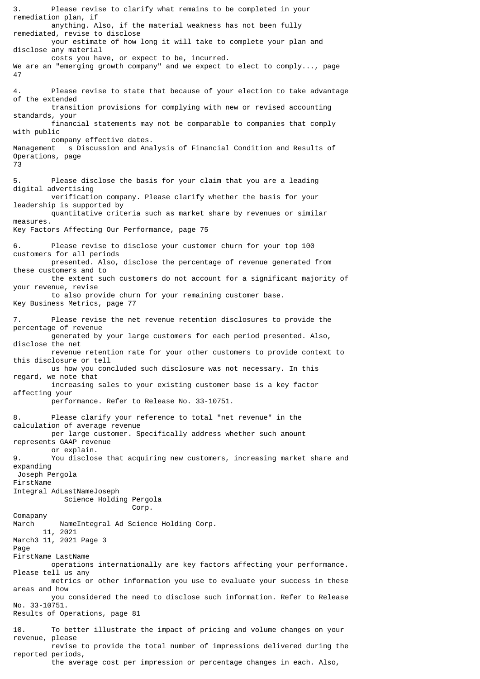3. Please revise to clarify what remains to be completed in your remediation plan, if anything. Also, if the material weakness has not been fully remediated, revise to disclose your estimate of how long it will take to complete your plan and disclose any material costs you have, or expect to be, incurred. We are an "emerging growth company" and we expect to elect to comply..., page 47 4. Please revise to state that because of your election to take advantage of the extended transition provisions for complying with new or revised accounting standards, your financial statements may not be comparable to companies that comply with public company effective dates. Management s Discussion and Analysis of Financial Condition and Results of Operations, page 73 5. Please disclose the basis for your claim that you are a leading digital advertising verification company. Please clarify whether the basis for your leadership is supported by quantitative criteria such as market share by revenues or similar measures. Key Factors Affecting Our Performance, page 75 6. Please revise to disclose your customer churn for your top 100 customers for all periods presented. Also, disclose the percentage of revenue generated from these customers and to the extent such customers do not account for a significant majority of your revenue, revise to also provide churn for your remaining customer base. Key Business Metrics, page 77 7. Please revise the net revenue retention disclosures to provide the percentage of revenue generated by your large customers for each period presented. Also, disclose the net revenue retention rate for your other customers to provide context to this disclosure or tell us how you concluded such disclosure was not necessary. In this regard, we note that increasing sales to your existing customer base is a key factor affecting your performance. Refer to Release No. 33-10751. 8. Please clarify your reference to total "net revenue" in the calculation of average revenue per large customer. Specifically address whether such amount represents GAAP revenue or explain. 9. You disclose that acquiring new customers, increasing market share and expanding Joseph Pergola FirstName Integral AdLastNameJoseph Science Holding Pergola Corp. Comapany March NameIntegral Ad Science Holding Corp. 11, 2021 March3 11, 2021 Page 3 Page FirstName LastName operations internationally are key factors affecting your performance. Please tell us any metrics or other information you use to evaluate your success in these areas and how you considered the need to disclose such information. Refer to Release No. 33-10751. Results of Operations, page 81 10. To better illustrate the impact of pricing and volume changes on your revenue, please revise to provide the total number of impressions delivered during the reported periods,

the average cost per impression or percentage changes in each. Also,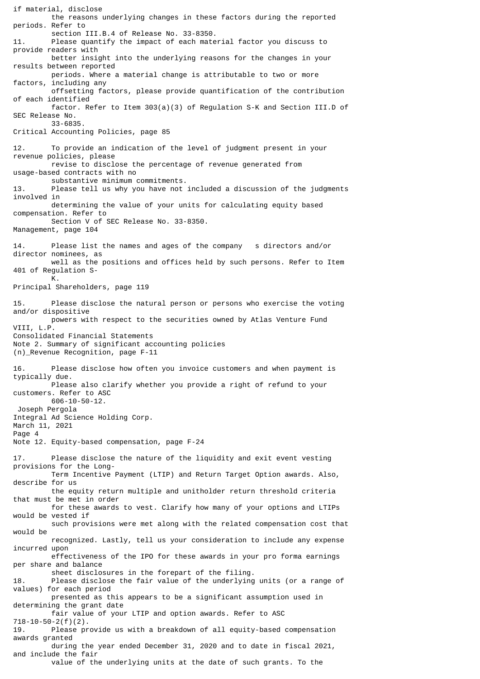the reasons underlying changes in these factors during the reported periods. Refer to section III.B.4 of Release No. 33-8350. 11. Please quantify the impact of each material factor you discuss to provide readers with better insight into the underlying reasons for the changes in your results between reported periods. Where a material change is attributable to two or more factors, including any offsetting factors, please provide quantification of the contribution of each identified factor. Refer to Item 303(a)(3) of Regulation S-K and Section III.D of SEC Release No. 33-6835. Critical Accounting Policies, page 85 12. To provide an indication of the level of judgment present in your revenue policies, please revise to disclose the percentage of revenue generated from usage-based contracts with no substantive minimum commitments.<br>13 Dease tell us why you have not Please tell us why you have not included a discussion of the judgments involved in determining the value of your units for calculating equity based compensation. Refer to Section V of SEC Release No. 33-8350. Management, page 104 14. Please list the names and ages of the company s directors and/or director nominees, as well as the positions and offices held by such persons. Refer to Item 401 of Regulation S- K. Principal Shareholders, page 119 15. Please disclose the natural person or persons who exercise the voting and/or dispositive powers with respect to the securities owned by Atlas Venture Fund VIII, L.P. Consolidated Financial Statements Note 2. Summary of significant accounting policies (n)\_Revenue Recognition, page F-11 16. Please disclose how often you invoice customers and when payment is typically due. Please also clarify whether you provide a right of refund to your customers. Refer to ASC 606-10-50-12. Joseph Pergola Integral Ad Science Holding Corp. March 11, 2021 Page 4 Note 12. Equity-based compensation, page F-24 17. Please disclose the nature of the liquidity and exit event vesting provisions for the Long- Term Incentive Payment (LTIP) and Return Target Option awards. Also, describe for us the equity return multiple and unitholder return threshold criteria that must be met in order for these awards to vest. Clarify how many of your options and LTIPs would be vested if such provisions were met along with the related compensation cost that would be recognized. Lastly, tell us your consideration to include any expense incurred upon effectiveness of the IPO for these awards in your pro forma earnings per share and balance sheet disclosures in the forepart of the filing. 18. Please disclose the fair value of the underlying units (or a range of values) for each period presented as this appears to be a significant assumption used in determining the grant date fair value of your LTIP and option awards. Refer to ASC 718-10-50-2(f)(2). 19. Please provide us with a breakdown of all equity-based compensation awards granted during the year ended December 31, 2020 and to date in fiscal 2021, and include the fair value of the underlying units at the date of such grants. To the

if material, disclose